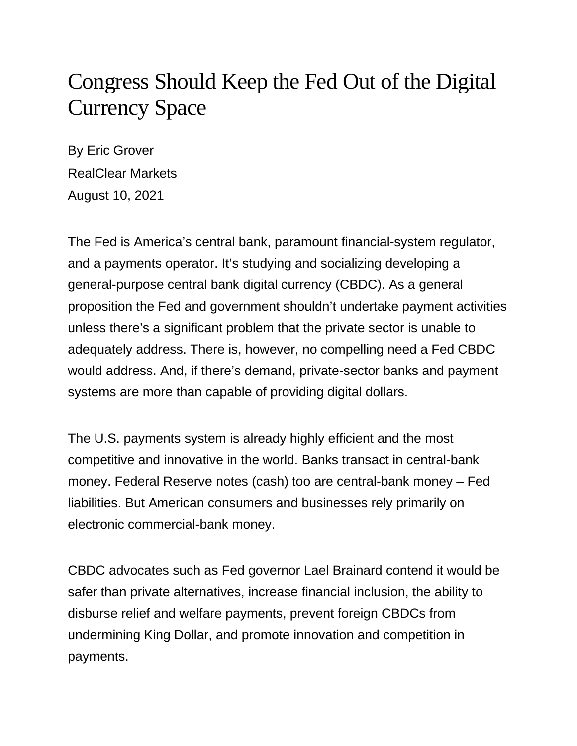## Congress Should Keep the Fed Out of the Digital Currency Space

By Eric Grover RealClear Markets August 10, 2021

The Fed is America's central bank, paramount financial-system regulator, and a payments operator. It's studying and socializing developing a general-purpose central bank digital currency (CBDC). As a general proposition the Fed and government shouldn't undertake payment activities unless there's a significant problem that the private sector is unable to adequately address. There is, however, no compelling need a Fed CBDC would address. And, if there's demand, private-sector banks and payment systems are more than capable of providing digital dollars.

The U.S. payments system is already highly efficient and the most competitive and innovative in the world. Banks transact in central-bank money. Federal Reserve notes (cash) too are central-bank money – Fed liabilities. But American consumers and businesses rely primarily on electronic commercial-bank money.

CBDC advocates such as Fed governor Lael Brainard contend it would be safer than private alternatives, increase financial inclusion, the ability to disburse relief and welfare payments, prevent foreign CBDCs from undermining King Dollar, and promote innovation and competition in payments.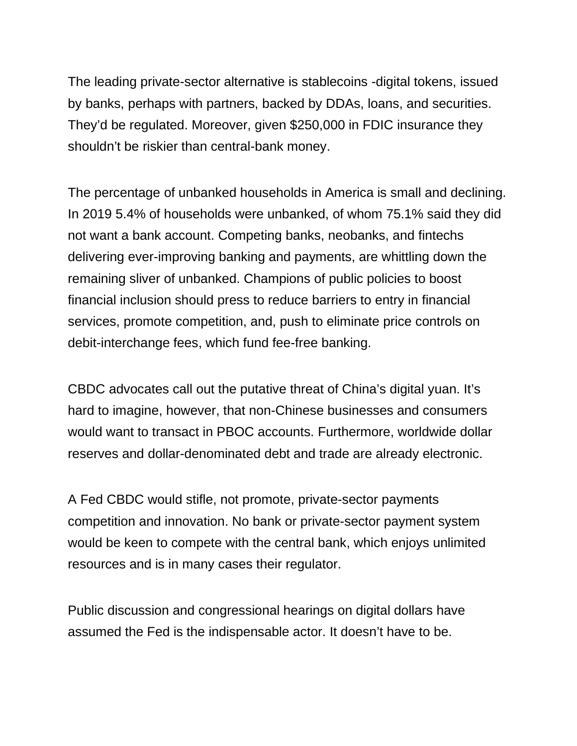The leading private-sector alternative is stablecoins -digital tokens, issued by banks, perhaps with partners, backed by DDAs, loans, and securities. They'd be regulated. Moreover, given \$250,000 in FDIC insurance they shouldn't be riskier than central-bank money.

The percentage of unbanked households in America is small and declining. In 2019 5.4% of households were unbanked, of whom 75.1% said they did not want a bank account. Competing banks, neobanks, and fintechs delivering ever-improving banking and payments, are whittling down the remaining sliver of unbanked. Champions of public policies to boost financial inclusion should press to reduce barriers to entry in financial services, promote competition, and, push to eliminate price controls on debit-interchange fees, which fund fee-free banking.

CBDC advocates call out the putative threat of China's digital yuan. It's hard to imagine, however, that non-Chinese businesses and consumers would want to transact in PBOC accounts. Furthermore, worldwide dollar reserves and dollar-denominated debt and trade are already electronic.

A Fed CBDC would stifle, not promote, private-sector payments competition and innovation. No bank or private-sector payment system would be keen to compete with the central bank, which enjoys unlimited resources and is in many cases their regulator.

Public discussion and congressional hearings on digital dollars have assumed the Fed is the indispensable actor. It doesn't have to be.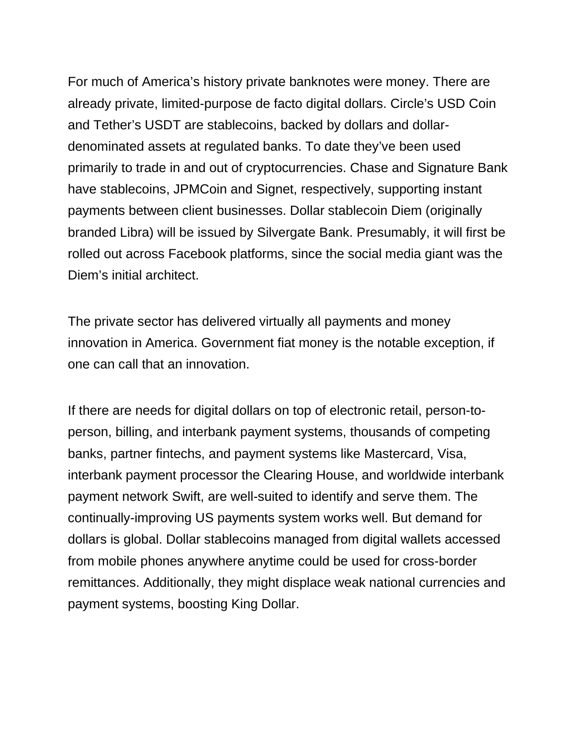For much of America's history private banknotes were money. There are already private, limited-purpose de facto digital dollars. Circle's USD Coin and Tether's USDT are stablecoins, backed by dollars and dollardenominated assets at regulated banks. To date they've been used primarily to trade in and out of cryptocurrencies. Chase and Signature Bank have stablecoins, JPMCoin and Signet, respectively, supporting instant payments between client businesses. Dollar stablecoin Diem (originally branded Libra) will be issued by Silvergate Bank. Presumably, it will first be rolled out across Facebook platforms, since the social media giant was the Diem's initial architect.

The private sector has delivered virtually all payments and money innovation in America. Government fiat money is the notable exception, if one can call that an innovation.

If there are needs for digital dollars on top of electronic retail, person-toperson, billing, and interbank payment systems, thousands of competing banks, partner fintechs, and payment systems like Mastercard, Visa, interbank payment processor the Clearing House, and worldwide interbank payment network Swift, are well-suited to identify and serve them. The continually-improving US payments system works well. But demand for dollars is global. Dollar stablecoins managed from digital wallets accessed from mobile phones anywhere anytime could be used for cross-border remittances. Additionally, they might displace weak national currencies and payment systems, boosting King Dollar.